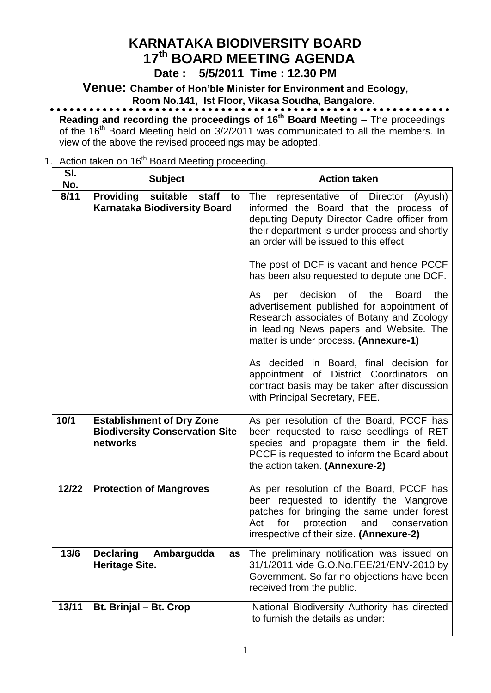# **KARNATAKA BIODIVERSITY BOARD 17 th BOARD MEETING AGENDA**

**Date : 5/5/2011 Time : 12.30 PM**

**Venue: Chamber of Hon'ble Minister for Environment and Ecology, Room No.141, Ist Floor, Vikasa Soudha, Bangalore.**

**Reading and recording the proceedings of 16 th Board Meeting** – The proceedings of the 16<sup>th</sup> Board Meeting held on 3/2/2011 was communicated to all the members. In view of the above the revised proceedings may be adopted.

1. Action taken on 16<sup>th</sup> Board Meeting proceeding.

| SI.<br>No. | <b>Subject</b>                                                                        | <b>Action taken</b>                                                                                                                                                                                                                                                                                                                                                                                                                                                                                                                                                                                                   |
|------------|---------------------------------------------------------------------------------------|-----------------------------------------------------------------------------------------------------------------------------------------------------------------------------------------------------------------------------------------------------------------------------------------------------------------------------------------------------------------------------------------------------------------------------------------------------------------------------------------------------------------------------------------------------------------------------------------------------------------------|
| 8/11       | <b>Providing</b><br>suitable<br>staff<br>to<br><b>Karnataka Biodiversity Board</b>    | representative of Director<br>The<br>(Ayush)<br>informed the Board that the process of<br>deputing Deputy Director Cadre officer from<br>their department is under process and shortly<br>an order will be issued to this effect.<br>The post of DCF is vacant and hence PCCF<br>has been also requested to depute one DCF.<br>decision<br>the<br>the<br>As<br>0f<br><b>Board</b><br>per<br>advertisement published for appointment of<br>Research associates of Botany and Zoology<br>in leading News papers and Website. The<br>matter is under process. (Annexure-1)<br>As decided in Board, final decision<br>for |
|            |                                                                                       | appointment of District Coordinators<br>on<br>contract basis may be taken after discussion<br>with Principal Secretary, FEE.                                                                                                                                                                                                                                                                                                                                                                                                                                                                                          |
| 10/1       | <b>Establishment of Dry Zone</b><br><b>Biodiversity Conservation Site</b><br>networks | As per resolution of the Board, PCCF has<br>been requested to raise seedlings of RET<br>species and propagate them in the field.<br>PCCF is requested to inform the Board about<br>the action taken. (Annexure-2)                                                                                                                                                                                                                                                                                                                                                                                                     |
| 12/22      | <b>Protection of Mangroves</b>                                                        | As per resolution of the Board, PCCF has<br>been requested to identify the Mangrove<br>patches for bringing the same under forest<br>protection<br>Act<br>for<br>and<br>conservation<br>irrespective of their size. (Annexure-2)                                                                                                                                                                                                                                                                                                                                                                                      |
| 13/6       | <b>Declaring</b><br>Ambargudda<br>as<br><b>Heritage Site.</b>                         | The preliminary notification was issued on<br>31/1/2011 vide G.O.No.FEE/21/ENV-2010 by<br>Government. So far no objections have been<br>received from the public.                                                                                                                                                                                                                                                                                                                                                                                                                                                     |
| 13/11      | Bt. Brinjal - Bt. Crop                                                                | National Biodiversity Authority has directed<br>to furnish the details as under:                                                                                                                                                                                                                                                                                                                                                                                                                                                                                                                                      |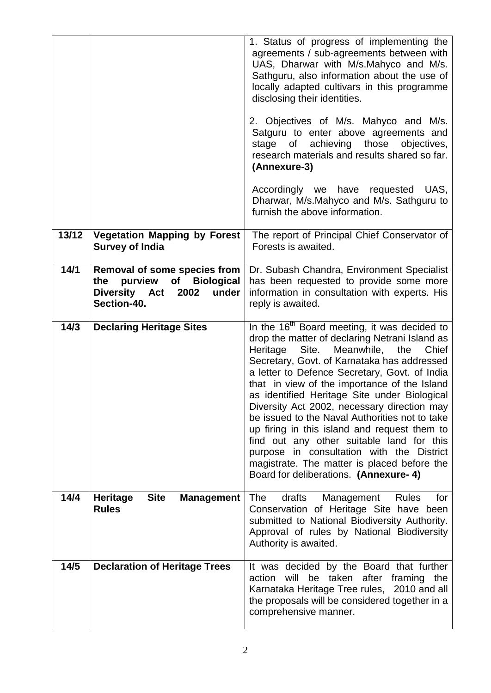|       |                                                                                                                            | 1. Status of progress of implementing the<br>agreements / sub-agreements between with<br>UAS, Dharwar with M/s.Mahyco and M/s.<br>Sathguru, also information about the use of<br>locally adapted cultivars in this programme<br>disclosing their identities.<br>2. Objectives of M/s. Mahyco and M/s.<br>Satguru to enter above agreements and<br>achieving<br>those<br>objectives,<br>stage<br>of<br>research materials and results shared so far.<br>(Annexure-3)<br>Accordingly we have requested UAS,<br>Dharwar, M/s.Mahyco and M/s. Sathguru to                                                                                                                                             |
|-------|----------------------------------------------------------------------------------------------------------------------------|---------------------------------------------------------------------------------------------------------------------------------------------------------------------------------------------------------------------------------------------------------------------------------------------------------------------------------------------------------------------------------------------------------------------------------------------------------------------------------------------------------------------------------------------------------------------------------------------------------------------------------------------------------------------------------------------------|
|       |                                                                                                                            | furnish the above information.                                                                                                                                                                                                                                                                                                                                                                                                                                                                                                                                                                                                                                                                    |
| 13/12 | <b>Vegetation Mapping by Forest</b><br><b>Survey of India</b>                                                              | The report of Principal Chief Conservator of<br>Forests is awaited.                                                                                                                                                                                                                                                                                                                                                                                                                                                                                                                                                                                                                               |
| 14/1  | Removal of some species from<br>purview<br><b>Biological</b><br>of<br>the<br>Diversity Act<br>2002<br>under<br>Section-40. | Dr. Subash Chandra, Environment Specialist<br>has been requested to provide some more<br>information in consultation with experts. His<br>reply is awaited.                                                                                                                                                                                                                                                                                                                                                                                                                                                                                                                                       |
| 14/3  | <b>Declaring Heritage Sites</b>                                                                                            | In the 16 <sup>th</sup> Board meeting, it was decided to<br>drop the matter of declaring Netrani Island as<br>Meanwhile,<br>Heritage<br>Site.<br>the<br>Chief<br>Secretary, Govt. of Karnataka has addressed<br>a letter to Defence Secretary, Govt. of India<br>that in view of the importance of the Island<br>as identified Heritage Site under Biological<br>Diversity Act 2002, necessary direction may<br>be issued to the Naval Authorities not to take<br>up firing in this island and request them to<br>find out any other suitable land for this<br>purpose in consultation with the District<br>magistrate. The matter is placed before the<br>Board for deliberations. (Annexure- 4) |
| 14/4  | <b>Site</b><br><b>Heritage</b><br><b>Management</b><br><b>Rules</b>                                                        | drafts<br>for<br><b>The</b><br>Management<br><b>Rules</b><br>Conservation of Heritage Site have been<br>submitted to National Biodiversity Authority.<br>Approval of rules by National Biodiversity<br>Authority is awaited.                                                                                                                                                                                                                                                                                                                                                                                                                                                                      |
| 14/5  | <b>Declaration of Heritage Trees</b>                                                                                       | It was decided by the Board that further<br>action will<br>be taken after framing the<br>Karnataka Heritage Tree rules, 2010 and all<br>the proposals will be considered together in a<br>comprehensive manner.                                                                                                                                                                                                                                                                                                                                                                                                                                                                                   |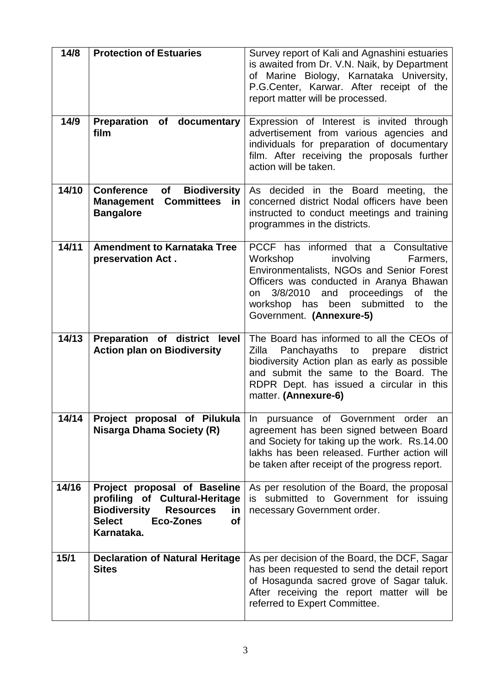| 14/8  | <b>Protection of Estuaries</b>                                                                                                                                           | Survey report of Kali and Agnashini estuaries<br>is awaited from Dr. V.N. Naik, by Department<br>of Marine Biology, Karnataka University,<br>P.G.Center, Karwar. After receipt of the<br>report matter will be processed.                                                                       |
|-------|--------------------------------------------------------------------------------------------------------------------------------------------------------------------------|-------------------------------------------------------------------------------------------------------------------------------------------------------------------------------------------------------------------------------------------------------------------------------------------------|
| 14/9  | Preparation of documentary<br>film                                                                                                                                       | Expression of Interest is invited through<br>advertisement from various agencies and<br>individuals for preparation of documentary<br>film. After receiving the proposals further<br>action will be taken.                                                                                      |
| 14/10 | <b>Conference</b><br><b>Biodiversity</b><br>of<br><b>Committees</b><br><b>Management</b><br><u>in</u><br><b>Bangalore</b>                                                | As decided in the Board meeting, the<br>concerned district Nodal officers have been<br>instructed to conduct meetings and training<br>programmes in the districts.                                                                                                                              |
| 14/11 | <b>Amendment to Karnataka Tree</b><br>preservation Act.                                                                                                                  | PCCF has informed that a Consultative<br>Workshop<br>involving<br>Farmers,<br>Environmentalists, NGOs and Senior Forest<br>Officers was conducted in Aranya Bhawan<br>the<br>3/8/2010<br>and proceedings<br>οf<br>on<br>workshop has<br>been submitted<br>the<br>to<br>Government. (Annexure-5) |
| 14/13 | Preparation of district level<br><b>Action plan on Biodiversity</b>                                                                                                      | The Board has informed to all the CEOs of<br>Zilla<br>Panchayaths<br>to<br>district<br>prepare<br>biodiversity Action plan as early as possible<br>and submit the same to the Board. The<br>RDPR Dept. has issued a circular in this<br>matter. (Annexure-6)                                    |
| 14/14 | Project proposal of Pilukula<br><b>Nisarga Dhama Society (R)</b>                                                                                                         | In pursuance of Government order an<br>agreement has been signed between Board<br>and Society for taking up the work. Rs.14.00<br>lakhs has been released. Further action will<br>be taken after receipt of the progress report.                                                                |
| 14/16 | Project proposal of Baseline<br>profiling of Cultural-Heritage<br><b>Biodiversity</b><br><b>Resources</b><br>in<br><b>Select</b><br><b>Eco-Zones</b><br>οf<br>Karnataka. | As per resolution of the Board, the proposal<br>is submitted to Government for issuing<br>necessary Government order.                                                                                                                                                                           |
| 15/1  | <b>Declaration of Natural Heritage</b><br><b>Sites</b>                                                                                                                   | As per decision of the Board, the DCF, Sagar<br>has been requested to send the detail report<br>of Hosagunda sacred grove of Sagar taluk.<br>After receiving the report matter will be<br>referred to Expert Committee.                                                                         |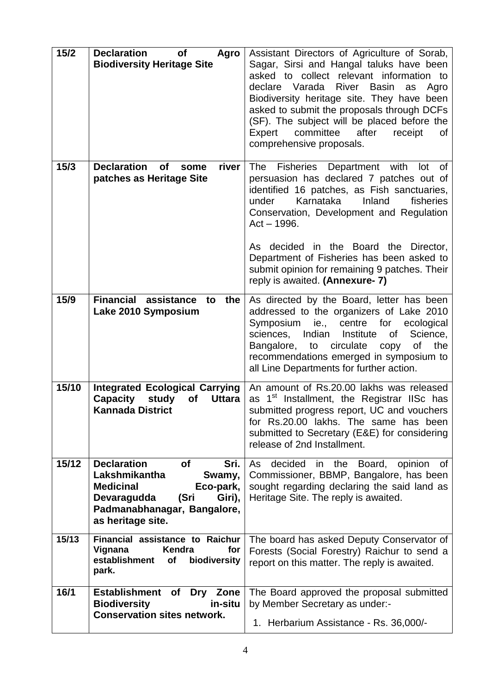| 15/2  | <b>Declaration</b><br><b>of</b><br>Agro<br><b>Biodiversity Heritage Site</b>                                                                                                             | Assistant Directors of Agriculture of Sorab,<br>Sagar, Sirsi and Hangal taluks have been<br>asked to collect relevant information to<br>declare Varada<br>River<br><b>Basin</b><br>Agro<br>as<br>Biodiversity heritage site. They have been<br>asked to submit the proposals through DCFs<br>(SF). The subject will be placed before the<br>committee<br>after<br>Expert<br>receipt<br>of<br>comprehensive proposals. |
|-------|------------------------------------------------------------------------------------------------------------------------------------------------------------------------------------------|-----------------------------------------------------------------------------------------------------------------------------------------------------------------------------------------------------------------------------------------------------------------------------------------------------------------------------------------------------------------------------------------------------------------------|
| 15/3  | <b>Declaration</b><br>river<br><b>of</b><br>some<br>patches as Heritage Site                                                                                                             | Fisheries Department<br>with<br>The<br>lot<br>of<br>persuasion has declared 7 patches out of<br>identified 16 patches, as Fish sanctuaries,<br>Karnataka<br>Inland<br>under<br>fisheries<br>Conservation, Development and Regulation<br>$Act - 1996.$<br>As decided in the Board the Director,<br>Department of Fisheries has been asked to                                                                           |
|       |                                                                                                                                                                                          | submit opinion for remaining 9 patches. Their<br>reply is awaited. (Annexure- 7)                                                                                                                                                                                                                                                                                                                                      |
| 15/9  | <b>Financial assistance</b><br>the<br>to<br>Lake 2010 Symposium                                                                                                                          | As directed by the Board, letter has been<br>addressed to the organizers of Lake 2010<br>Symposium<br>centre<br>for<br>ie.,<br>ecological<br>sciences,<br>Indian<br>Institute<br>0f<br>Science,<br>Bangalore, to circulate<br>the<br><b>of</b><br>copy<br>recommendations emerged in symposium to<br>all Line Departments for further action.                                                                         |
| 15/10 | <b>Integrated Ecological Carrying</b><br><b>Capacity</b><br>study<br><b>Uttara</b><br><b>of</b><br><b>Kannada District</b>                                                               | An amount of Rs.20.00 lakhs was released<br>1 <sup>st</sup> Installment, the Registrar IISc has<br>as<br>submitted progress report, UC and vouchers<br>for Rs.20.00 lakhs. The same has been<br>submitted to Secretary (E&E) for considering<br>release of 2nd Installment.                                                                                                                                           |
| 15/12 | <b>Declaration</b><br>Sri.<br><b>of</b><br>Lakshmikantha<br>Swamy,<br><b>Medicinal</b><br>Eco-park,<br>Devaragudda<br>(Sri<br>Giri),<br>Padmanabhanagar, Bangalore,<br>as heritage site. | decided in the Board, opinion<br>As<br>of<br>Commissioner, BBMP, Bangalore, has been<br>sought regarding declaring the said land as<br>Heritage Site. The reply is awaited.                                                                                                                                                                                                                                           |
| 15/13 | Financial assistance to Raichur<br>Kendra<br>for<br>Vignana<br>establishment<br>biodiversity<br>of<br>park.                                                                              | The board has asked Deputy Conservator of<br>Forests (Social Forestry) Raichur to send a<br>report on this matter. The reply is awaited.                                                                                                                                                                                                                                                                              |
| 16/1  | Establishment of<br>Zone<br>Dry<br><b>Biodiversity</b><br>in-situ<br><b>Conservation sites network.</b>                                                                                  | The Board approved the proposal submitted<br>by Member Secretary as under:-<br>1. Herbarium Assistance - Rs. 36,000/-                                                                                                                                                                                                                                                                                                 |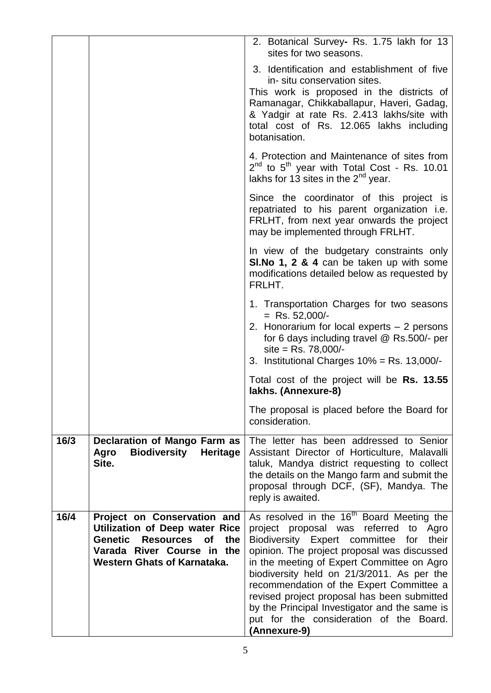|      |                                                                                                                                                                                                    | 2. Botanical Survey- Rs. 1.75 lakh for 13<br>sites for two seasons.                                                                                                                                                                                                                                                                                                                                                                                                                                     |
|------|----------------------------------------------------------------------------------------------------------------------------------------------------------------------------------------------------|---------------------------------------------------------------------------------------------------------------------------------------------------------------------------------------------------------------------------------------------------------------------------------------------------------------------------------------------------------------------------------------------------------------------------------------------------------------------------------------------------------|
|      |                                                                                                                                                                                                    | 3. Identification and establishment of five<br>in-situ conservation sites.<br>This work is proposed in the districts of<br>Ramanagar, Chikkaballapur, Haveri, Gadag,<br>& Yadgir at rate Rs. 2.413 lakhs/site with<br>total cost of Rs. 12.065 lakhs including<br>botanisation.                                                                                                                                                                                                                         |
|      |                                                                                                                                                                                                    | 4. Protection and Maintenance of sites from<br>$2^{nd}$ to $5^{th}$ year with Total Cost - Rs. 10.01<br>lakhs for 13 sites in the $2^{nd}$ year.                                                                                                                                                                                                                                                                                                                                                        |
|      |                                                                                                                                                                                                    | Since the coordinator of this project is<br>repatriated to his parent organization i.e.<br>FRLHT, from next year onwards the project<br>may be implemented through FRLHT.                                                                                                                                                                                                                                                                                                                               |
|      |                                                                                                                                                                                                    | In view of the budgetary constraints only<br>SI. No 1, 2 & 4 can be taken up with some<br>modifications detailed below as requested by<br>FRLHT.                                                                                                                                                                                                                                                                                                                                                        |
|      |                                                                                                                                                                                                    | 1. Transportation Charges for two seasons<br>$=$ Rs. 52,000/-<br>2. Honorarium for local experts – 2 persons<br>for 6 days including travel @ Rs.500/- per<br>$site = Rs. 78,000/$ -<br>3. Institutional Charges $10\%$ = Rs. 13,000/-                                                                                                                                                                                                                                                                  |
|      |                                                                                                                                                                                                    | Total cost of the project will be Rs. 13.55<br>lakhs. (Annexure-8)                                                                                                                                                                                                                                                                                                                                                                                                                                      |
|      |                                                                                                                                                                                                    | The proposal is placed before the Board for<br>consideration.                                                                                                                                                                                                                                                                                                                                                                                                                                           |
| 16/3 | <b>Declaration of Mango Farm as</b><br><b>Biodiversity</b><br><b>Heritage</b><br>Agro<br>Site.                                                                                                     | The letter has been addressed to Senior<br>Assistant Director of Horticulture, Malavalli<br>taluk, Mandya district requesting to collect<br>the details on the Mango farm and submit the<br>proposal through DCF, (SF), Mandya. The<br>reply is awaited.                                                                                                                                                                                                                                                |
| 16/4 | Project on Conservation and<br><b>Utilization of Deep water Rice</b><br><b>Resources</b><br><b>Genetic</b><br><b>of</b><br>the<br>Varada River Course in the<br><b>Western Ghats of Karnataka.</b> | As resolved in the 16 <sup>th</sup> Board Meeting the<br>project proposal was referred<br>to<br>Agro<br>Biodiversity Expert committee<br>their<br>for<br>opinion. The project proposal was discussed<br>in the meeting of Expert Committee on Agro<br>biodiversity held on 21/3/2011. As per the<br>recommendation of the Expert Committee a<br>revised project proposal has been submitted<br>by the Principal Investigator and the same is<br>put for the consideration of the Board.<br>(Annexure-9) |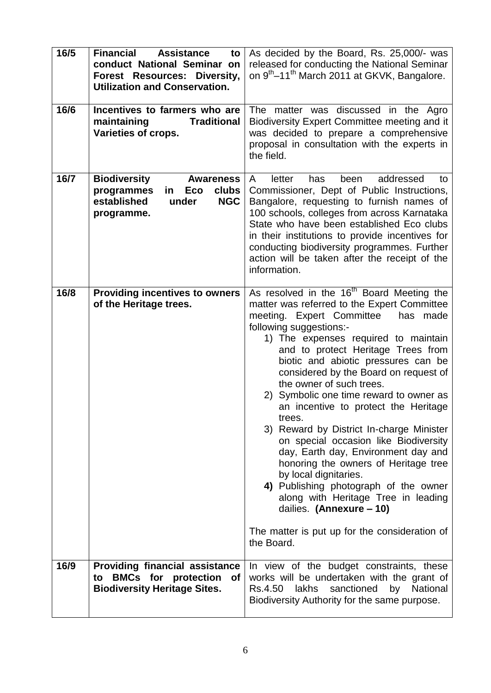| 16/5 | <b>Financial</b><br><b>Assistance</b><br>to<br>conduct National Seminar on<br>Diversity,<br><b>Forest Resources:</b><br><b>Utilization and Conservation.</b> | As decided by the Board, Rs. 25,000/- was<br>released for conducting the National Seminar<br>on 9 <sup>th</sup> –11 <sup>th</sup> March 2011 at GKVK, Bangalore.                                                                                                                                                                                                                                                                                                                                                                                                                                                                                                                                                                                                                                                                        |
|------|--------------------------------------------------------------------------------------------------------------------------------------------------------------|-----------------------------------------------------------------------------------------------------------------------------------------------------------------------------------------------------------------------------------------------------------------------------------------------------------------------------------------------------------------------------------------------------------------------------------------------------------------------------------------------------------------------------------------------------------------------------------------------------------------------------------------------------------------------------------------------------------------------------------------------------------------------------------------------------------------------------------------|
| 16/6 | Incentives to farmers who are<br>maintaining<br><b>Traditional</b><br>Varieties of crops.                                                                    | The matter was discussed in the Agro<br>Biodiversity Expert Committee meeting and it<br>was decided to prepare a comprehensive<br>proposal in consultation with the experts in<br>the field.                                                                                                                                                                                                                                                                                                                                                                                                                                                                                                                                                                                                                                            |
| 16/7 | <b>Biodiversity</b><br><b>Awareness</b><br>programmes<br>clubs<br>Eco<br>in.<br>established<br><b>NGC</b><br>under<br>programme.                             | addressed<br>letter<br>has<br>been<br>A<br>to<br>Commissioner, Dept of Public Instructions,<br>Bangalore, requesting to furnish names of<br>100 schools, colleges from across Karnataka<br>State who have been established Eco clubs<br>in their institutions to provide incentives for<br>conducting biodiversity programmes. Further<br>action will be taken after the receipt of the<br>information.                                                                                                                                                                                                                                                                                                                                                                                                                                 |
| 16/8 | <b>Providing incentives to owners</b><br>of the Heritage trees.                                                                                              | As resolved in the 16 <sup>th</sup> Board Meeting the<br>matter was referred to the Expert Committee<br>meeting. Expert Committee<br>has made<br>following suggestions:-<br>1) The expenses required to maintain<br>and to protect Heritage Trees from<br>biotic and abiotic pressures can be<br>considered by the Board on request of<br>the owner of such trees.<br>2) Symbolic one time reward to owner as<br>an incentive to protect the Heritage<br>trees.<br>3) Reward by District In-charge Minister<br>on special occasion like Biodiversity<br>day, Earth day, Environment day and<br>honoring the owners of Heritage tree<br>by local dignitaries.<br>4) Publishing photograph of the owner<br>along with Heritage Tree in leading<br>dailies. (Annexure - 10)<br>The matter is put up for the consideration of<br>the Board. |
| 16/9 | <b>Providing financial assistance</b><br>to BMCs for protection<br>of<br><b>Biodiversity Heritage Sites.</b>                                                 | In view of the budget constraints, these<br>works will be undertaken with the grant of<br>sanctioned<br>by National<br>Rs.4.50<br>lakhs<br>Biodiversity Authority for the same purpose.                                                                                                                                                                                                                                                                                                                                                                                                                                                                                                                                                                                                                                                 |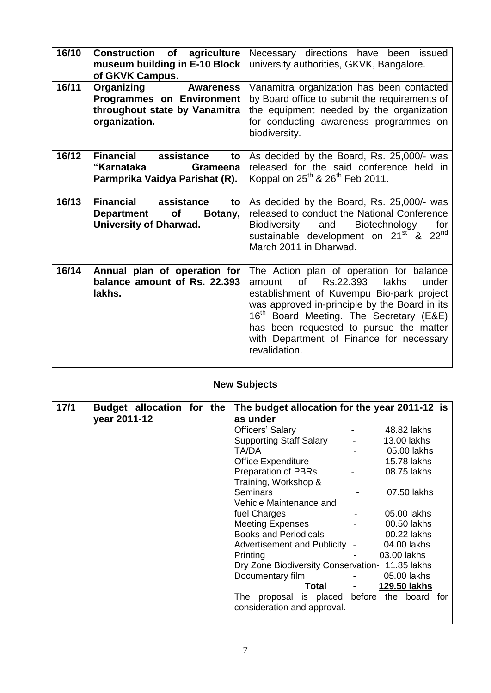| 16/10 | <b>of</b><br><b>Construction</b><br>agriculture<br>museum building in E-10 Block<br>of GKVK Campus.                         | Necessary directions have been issued<br>university authorities, GKVK, Bangalore.                                                                                                                                                                                                                                                                           |
|-------|-----------------------------------------------------------------------------------------------------------------------------|-------------------------------------------------------------------------------------------------------------------------------------------------------------------------------------------------------------------------------------------------------------------------------------------------------------------------------------------------------------|
| 16/11 | <b>Organizing</b><br><b>Awareness</b><br><b>Programmes on Environment</b><br>throughout state by Vanamitra<br>organization. | Vanamitra organization has been contacted<br>by Board office to submit the requirements of<br>the equipment needed by the organization<br>for conducting awareness programmes on<br>biodiversity.                                                                                                                                                           |
| 16/12 | <b>Financial</b><br>assistance<br>to<br>"Karnataka<br><b>Grameena</b><br>Parmprika Vaidya Parishat (R).                     | As decided by the Board, Rs. 25,000/- was<br>released for the said conference held in<br>Koppal on 25 <sup>th</sup> & 26 <sup>th</sup> Feb 2011.                                                                                                                                                                                                            |
| 16/13 | Financial assistance<br>to<br>of<br><b>Department</b><br>Botany,<br><b>University of Dharwad.</b>                           | As decided by the Board, Rs. 25,000/- was<br>released to conduct the National Conference<br>Biodiversity and<br><b>Biotechnology</b><br>for<br>sustainable development on 21 <sup>st</sup> & 22 <sup>nd</sup><br>March 2011 in Dharwad.                                                                                                                     |
| 16/14 | Annual plan of operation for<br>balance amount of Rs. 22.393<br>lakhs.                                                      | The Action plan of operation for balance<br>of<br>Rs.22.393<br><b>lakhs</b><br>under<br>amount<br>establishment of Kuvempu Bio-park project<br>was approved in-principle by the Board in its<br>16 <sup>th</sup> Board Meeting. The Secretary (E&E)<br>has been requested to pursue the matter<br>with Department of Finance for necessary<br>revalidation. |

## **New Subjects**

| 17/1 | Budget allocation for the |  | The budget allocation for the year 2011-12 is   |                      |  |
|------|---------------------------|--|-------------------------------------------------|----------------------|--|
|      | year 2011-12              |  | as under                                        |                      |  |
|      |                           |  | Officers' Salary                                | 48.82 lakhs          |  |
|      |                           |  | Supporting Staff Salary -                       | 13.00 lakhs          |  |
|      |                           |  | and the state of the<br>TA/DA                   | 05.00 lakhs          |  |
|      |                           |  | Office Expenditure Face                         | 15.78 lakhs          |  |
|      |                           |  | <b>Preparation of PBRs</b>                      | 08.75 lakhs          |  |
|      |                           |  | Training, Workshop &                            |                      |  |
|      |                           |  | <b>Seminars</b>                                 | 07.50 lakhs          |  |
|      |                           |  | Vehicle Maintenance and                         |                      |  |
|      |                           |  | fuel Charges                                    | 05.00 lakhs          |  |
|      |                           |  | Meeting Expenses Facebook                       | 00.50 lakhs          |  |
|      |                           |  | Books and Periodicals - 00.22 lakhs             |                      |  |
|      |                           |  | Advertisement and Publicity - 04.00 lakhs       |                      |  |
|      |                           |  | Printing                                        | 03.00 lakhs          |  |
|      |                           |  | Dry Zone Biodiversity Conservation- 11.85 lakhs |                      |  |
|      |                           |  | Documentary film                                | - 05.00 lakhs        |  |
|      |                           |  |                                                 | Total - 129.50 lakhs |  |
|      |                           |  | The proposal is placed before the board for     |                      |  |
|      |                           |  | consideration and approval.                     |                      |  |
|      |                           |  |                                                 |                      |  |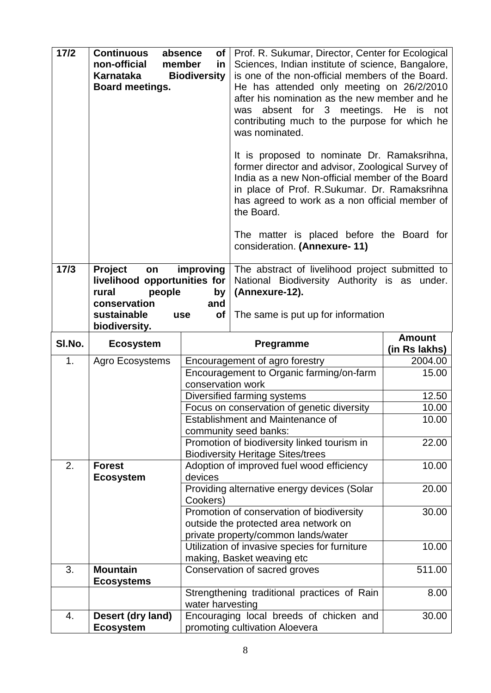| $17/2$ | <b>Continuous</b><br>non-official<br>Karnataka<br>Board meetings.                                                | absence<br>of l<br>member<br>in<br><b>Biodiversity</b> | Prof. R. Sukumar, Director, Center for Ecological<br>Sciences, Indian institute of science, Bangalore,<br>is one of the non-official members of the Board.<br>He has attended only meeting on 26/2/2010<br>after his nomination as the new member and he<br>absent for 3 meetings. He is<br>was<br>contributing much to the purpose for which he<br>was nominated.<br>It is proposed to nominate Dr. Ramaksrihna,<br>former director and advisor, Zoological Survey of<br>India as a new Non-official member of the Board<br>in place of Prof. R.Sukumar. Dr. Ramaksrihna<br>has agreed to work as a non official member of<br>the Board.<br>The matter is placed before the Board for<br>consideration. (Annexure-11) | not                            |
|--------|------------------------------------------------------------------------------------------------------------------|--------------------------------------------------------|------------------------------------------------------------------------------------------------------------------------------------------------------------------------------------------------------------------------------------------------------------------------------------------------------------------------------------------------------------------------------------------------------------------------------------------------------------------------------------------------------------------------------------------------------------------------------------------------------------------------------------------------------------------------------------------------------------------------|--------------------------------|
| $17/3$ | Project<br>on<br>livelihood opportunities for<br>people<br>rural<br>conservation<br>sustainable<br>biodiversity. | improving<br>by<br>and<br>of<br><b>use</b>             | The abstract of livelihood project submitted to<br>National Biodiversity Authority is as under.<br>(Annexure-12).<br>The same is put up for information                                                                                                                                                                                                                                                                                                                                                                                                                                                                                                                                                                |                                |
| SI.No. | <b>Ecosystem</b>                                                                                                 |                                                        | Pregramme                                                                                                                                                                                                                                                                                                                                                                                                                                                                                                                                                                                                                                                                                                              | <b>Amount</b><br>(in Rs lakhs) |
| 1.     | Agro Ecosystems                                                                                                  |                                                        | Encouragement of agro forestry                                                                                                                                                                                                                                                                                                                                                                                                                                                                                                                                                                                                                                                                                         | 2004.00                        |
|        |                                                                                                                  |                                                        |                                                                                                                                                                                                                                                                                                                                                                                                                                                                                                                                                                                                                                                                                                                        |                                |
|        |                                                                                                                  |                                                        | Encouragement to Organic farming/on-farm                                                                                                                                                                                                                                                                                                                                                                                                                                                                                                                                                                                                                                                                               | 15.00                          |
|        |                                                                                                                  | conservation work                                      |                                                                                                                                                                                                                                                                                                                                                                                                                                                                                                                                                                                                                                                                                                                        |                                |
|        |                                                                                                                  |                                                        | Diversified farming systems                                                                                                                                                                                                                                                                                                                                                                                                                                                                                                                                                                                                                                                                                            | 12.50                          |
|        |                                                                                                                  |                                                        | Focus on conservation of genetic diversity                                                                                                                                                                                                                                                                                                                                                                                                                                                                                                                                                                                                                                                                             | 10.00                          |
|        |                                                                                                                  |                                                        | <b>Establishment and Maintenance of</b>                                                                                                                                                                                                                                                                                                                                                                                                                                                                                                                                                                                                                                                                                | 10.00                          |
|        |                                                                                                                  |                                                        | community seed banks:                                                                                                                                                                                                                                                                                                                                                                                                                                                                                                                                                                                                                                                                                                  | 22.00                          |
|        |                                                                                                                  |                                                        | Promotion of biodiversity linked tourism in<br><b>Biodiversity Heritage Sites/trees</b>                                                                                                                                                                                                                                                                                                                                                                                                                                                                                                                                                                                                                                |                                |
| 2.     | <b>Forest</b>                                                                                                    |                                                        | Adoption of improved fuel wood efficiency                                                                                                                                                                                                                                                                                                                                                                                                                                                                                                                                                                                                                                                                              | 10.00                          |
|        | <b>Ecosystem</b>                                                                                                 | devices                                                |                                                                                                                                                                                                                                                                                                                                                                                                                                                                                                                                                                                                                                                                                                                        |                                |
|        |                                                                                                                  |                                                        | Providing alternative energy devices (Solar                                                                                                                                                                                                                                                                                                                                                                                                                                                                                                                                                                                                                                                                            | 20.00                          |
|        |                                                                                                                  | Cookers)                                               |                                                                                                                                                                                                                                                                                                                                                                                                                                                                                                                                                                                                                                                                                                                        |                                |
|        |                                                                                                                  |                                                        | Promotion of conservation of biodiversity                                                                                                                                                                                                                                                                                                                                                                                                                                                                                                                                                                                                                                                                              | 30.00                          |
|        |                                                                                                                  |                                                        | outside the protected area network on                                                                                                                                                                                                                                                                                                                                                                                                                                                                                                                                                                                                                                                                                  |                                |
|        |                                                                                                                  |                                                        | private property/common lands/water                                                                                                                                                                                                                                                                                                                                                                                                                                                                                                                                                                                                                                                                                    | 10.00                          |
|        |                                                                                                                  |                                                        | Utilization of invasive species for furniture<br>making, Basket weaving etc                                                                                                                                                                                                                                                                                                                                                                                                                                                                                                                                                                                                                                            |                                |
| 3.     | <b>Mountain</b>                                                                                                  |                                                        | Conservation of sacred groves                                                                                                                                                                                                                                                                                                                                                                                                                                                                                                                                                                                                                                                                                          | 511.00                         |
|        | <b>Ecosystems</b>                                                                                                |                                                        |                                                                                                                                                                                                                                                                                                                                                                                                                                                                                                                                                                                                                                                                                                                        |                                |
|        |                                                                                                                  | water harvesting                                       | Strengthening traditional practices of Rain                                                                                                                                                                                                                                                                                                                                                                                                                                                                                                                                                                                                                                                                            | 8.00                           |
| 4.     | Desert (dry land)                                                                                                |                                                        | Encouraging local breeds of chicken and                                                                                                                                                                                                                                                                                                                                                                                                                                                                                                                                                                                                                                                                                | 30.00                          |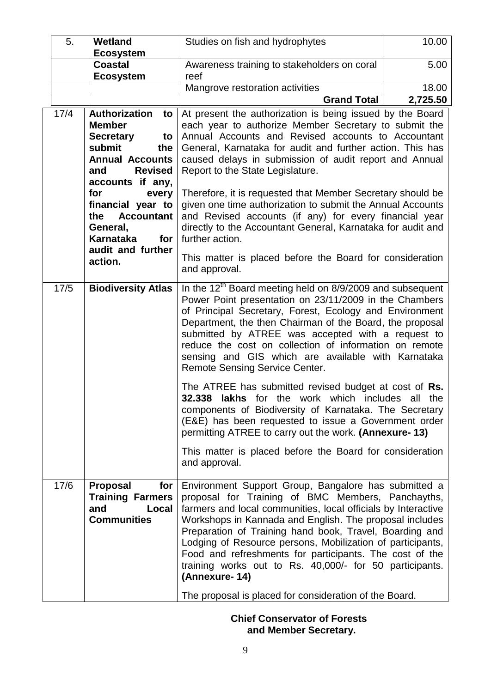| 5.   | Wetland<br><b>Ecosystem</b>                                                                                                                                                                                                                                                                           | Studies on fish and hydrophytes                                                                                                                                                                                                                                                                                                                                                                                                                                                                                                                                                                                                                                                          | 10.00    |
|------|-------------------------------------------------------------------------------------------------------------------------------------------------------------------------------------------------------------------------------------------------------------------------------------------------------|------------------------------------------------------------------------------------------------------------------------------------------------------------------------------------------------------------------------------------------------------------------------------------------------------------------------------------------------------------------------------------------------------------------------------------------------------------------------------------------------------------------------------------------------------------------------------------------------------------------------------------------------------------------------------------------|----------|
|      | <b>Coastal</b><br><b>Ecosystem</b>                                                                                                                                                                                                                                                                    | Awareness training to stakeholders on coral<br>reef                                                                                                                                                                                                                                                                                                                                                                                                                                                                                                                                                                                                                                      | 5.00     |
|      |                                                                                                                                                                                                                                                                                                       | Mangrove restoration activities                                                                                                                                                                                                                                                                                                                                                                                                                                                                                                                                                                                                                                                          | 18.00    |
|      |                                                                                                                                                                                                                                                                                                       | <b>Grand Total</b>                                                                                                                                                                                                                                                                                                                                                                                                                                                                                                                                                                                                                                                                       | 2,725.50 |
| 17/4 | <b>Authorization</b><br>to<br><b>Member</b><br><b>Secretary</b><br>to<br>submit<br>the<br><b>Annual Accounts</b><br><b>Revised</b><br>and<br>accounts if any,<br>for<br>every<br>financial year to<br><b>Accountant</b><br>the<br>General,<br><b>Karnataka</b><br>for<br>audit and further<br>action. | At present the authorization is being issued by the Board<br>each year to authorize Member Secretary to submit the<br>Annual Accounts and Revised accounts to Accountant<br>General, Karnataka for audit and further action. This has<br>caused delays in submission of audit report and Annual<br>Report to the State Legislature.<br>Therefore, it is requested that Member Secretary should be<br>given one time authorization to submit the Annual Accounts<br>and Revised accounts (if any) for every financial year<br>directly to the Accountant General, Karnataka for audit and<br>further action.<br>This matter is placed before the Board for consideration<br>and approval. |          |
| 17/5 | <b>Biodiversity Atlas</b>                                                                                                                                                                                                                                                                             | In the $12^{th}$ Board meeting held on 8/9/2009 and subsequent<br>Power Point presentation on 23/11/2009 in the Chambers<br>of Principal Secretary, Forest, Ecology and Environment<br>Department, the then Chairman of the Board, the proposal<br>submitted by ATREE was accepted with a request to<br>reduce the cost on collection of information on remote<br>sensing and GIS which are available with Karnataka<br>Remote Sensing Service Center.<br>The ATREE has submitted revised budget at cost of Rs.<br>lakhs for the work which includes all<br>32.338                                                                                                                       | the      |
|      |                                                                                                                                                                                                                                                                                                       | components of Biodiversity of Karnataka. The Secretary<br>(E&E) has been requested to issue a Government order<br>permitting ATREE to carry out the work. (Annexure-13)<br>This matter is placed before the Board for consideration<br>and approval.                                                                                                                                                                                                                                                                                                                                                                                                                                     |          |
|      |                                                                                                                                                                                                                                                                                                       |                                                                                                                                                                                                                                                                                                                                                                                                                                                                                                                                                                                                                                                                                          |          |
| 17/6 | Proposal<br>for<br><b>Training Farmers</b><br>and<br>Local<br><b>Communities</b>                                                                                                                                                                                                                      | Environment Support Group, Bangalore has submitted a<br>proposal for Training of BMC Members, Panchayths,<br>farmers and local communities, local officials by Interactive<br>Workshops in Kannada and English. The proposal includes<br>Preparation of Training hand book, Travel, Boarding and<br>Lodging of Resource persons, Mobilization of participants,<br>Food and refreshments for participants. The cost of the<br>training works out to Rs. 40,000/- for 50 participants.<br>(Annexure-14)                                                                                                                                                                                    |          |
|      |                                                                                                                                                                                                                                                                                                       | The proposal is placed for consideration of the Board.                                                                                                                                                                                                                                                                                                                                                                                                                                                                                                                                                                                                                                   |          |

 **Chief Conservator of Forests and Member Secretary.**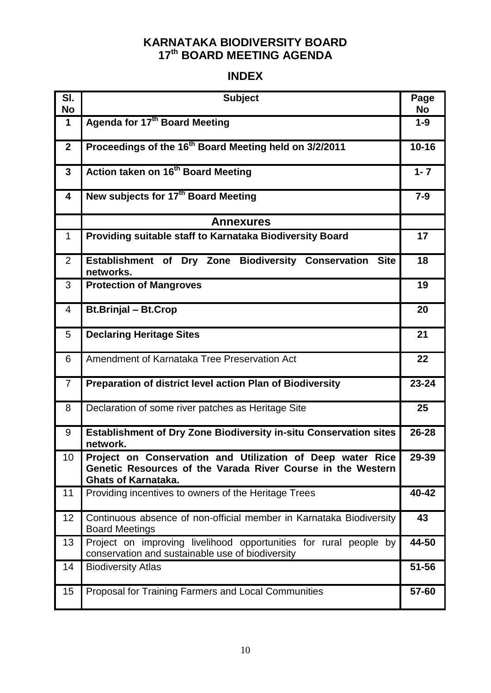### **KARNATAKA BIODIVERSITY BOARD 17 th BOARD MEETING AGENDA**

## **INDEX**

| SI.<br><b>No</b> | <b>Subject</b>                                                                                                                                          | Page<br>No |
|------------------|---------------------------------------------------------------------------------------------------------------------------------------------------------|------------|
| $\mathbf 1$      | Agenda for 17 <sup>th</sup> Board Meeting                                                                                                               | $1-9$      |
| $\mathbf{2}$     | Proceedings of the 16 <sup>th</sup> Board Meeting held on 3/2/2011                                                                                      | $10 - 16$  |
| $\mathbf{3}$     | Action taken on 16 <sup>th</sup> Board Meeting                                                                                                          | $1 - 7$    |
| 4                | New subjects for 17 <sup>th</sup> Board Meeting                                                                                                         | $7 - 9$    |
|                  | <b>Annexures</b>                                                                                                                                        |            |
| $\mathbf{1}$     | Providing suitable staff to Karnataka Biodiversity Board                                                                                                | 17         |
| 2                | Establishment of Dry Zone Biodiversity Conservation Site<br>networks.                                                                                   | 18         |
| 3                | <b>Protection of Mangroves</b>                                                                                                                          | 19         |
| 4                | <b>Bt.Brinjal - Bt.Crop</b>                                                                                                                             | 20         |
| 5                | <b>Declaring Heritage Sites</b>                                                                                                                         | 21         |
| 6                | Amendment of Karnataka Tree Preservation Act                                                                                                            | 22         |
| $\overline{7}$   | Preparation of district level action Plan of Biodiversity                                                                                               | $23 - 24$  |
| 8                | Declaration of some river patches as Heritage Site                                                                                                      | 25         |
| 9                | <b>Establishment of Dry Zone Biodiversity in-situ Conservation sites</b><br>network.                                                                    | 26-28      |
| 10               | Project on Conservation and Utilization of Deep water Rice<br>Genetic Resources of the Varada River Course in the Western<br><b>Ghats of Karnataka.</b> | 29-39      |
| 11               | Providing incentives to owners of the Heritage Trees                                                                                                    | 40-42      |
| 12               | Continuous absence of non-official member in Karnataka Biodiversity<br><b>Board Meetings</b>                                                            | 43         |
| 13               | Project on improving livelihood opportunities for rural people by<br>conservation and sustainable use of biodiversity                                   | 44-50      |
| 14               | <b>Biodiversity Atlas</b>                                                                                                                               | 51-56      |
| 15               | Proposal for Training Farmers and Local Communities                                                                                                     | 57-60      |